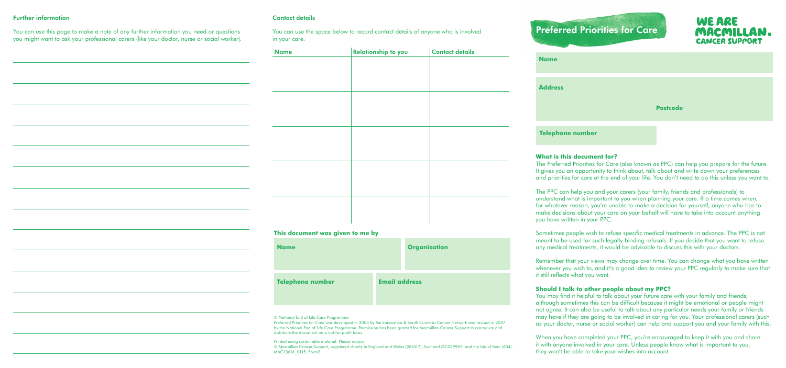# Preferred Priorities for Care

| <b>A MARCHART STORY</b><br>$\sigma \gtrsim 1000$ |                 |
|--------------------------------------------------|-----------------|
| <b>Name</b>                                      |                 |
|                                                  |                 |
| <b>Address</b>                                   |                 |
|                                                  |                 |
|                                                  | <b>Postcode</b> |
|                                                  |                 |

**WE ARE** 

CANCER SUPPOR

#### **Telephone number**

#### **What is this document for?**

The Preferred Priorities for Care (also known as PPC) can help you prepare for the future. It gives you an opportunity to think about, talk about and write down your preferences and priorities for care at the end of your life. You don't need to do this unless you want to.

The PPC can help you and your carers (your family, friends and professionals) to understand what is important to you when planning your care. If a time comes when, for whatever reason, you're unable to make a decision for yourself, anyone who has to make decisions about your care on your behalf will have to take into account anything you have written in your PPC.

You may find it helpful to talk about your future care with your family and friends, although sometimes this can be difficult because it might be emotional or people might not agree. It can also be useful to talk about any particular needs your family or friends may have if they are going to be involved in caring for you. Your professional carers (such as your doctor, nurse or social worker) can help and support you and your family with this.

Sometimes people wish to refuse specific medical treatments in advance. The PPC is not meant to be used for such legally-binding refusals. If you decide that you want to refuse any medical treatments, it would be advisable to discuss this with your doctors.

Remember that your views may change over time. You can change what you have written whenever you wish to, and it's a good idea to review your PPC regularly to make sure that it still reflects what you want.

#### **Should I talk to other people about my PPC?**

© Macmillan Cancer Support, registered charity in England and Wales (261017), Scotland (SC039907) and the Isle of Man (604). MAC13616\_0115\_Form2

## **Nanisation**

When you have completed your PPC, you're encouraged to keep it with you and share it with anyone involved in your care. Unless people know what is important to you, they won't be able to take your wishes into account.

#### Contact details

You can use the space below to record contact details of anyone who is involved in your care.

#### **This document was given to me by**

| <b>Name</b>             | Orgo                 |
|-------------------------|----------------------|
| <b>Telephone number</b> | <b>Email address</b> |

#### © National End of Life Care Programme

Preferred Priorities for Care was developed in 2004 by the Lancashire & South Cumbria Cancer Network and revised in 2007 by the National End of Life Care Programme. Permission has been granted for Macmillan Cancer Support to reproduce and distribute the document on a not-for-profit basis.

Printed using sustainable material. Please recycle.

#### Further information

You can use this page to make a note of any further information you need or questions you might want to ask your professional carers (like your doctor, nurse or social worker).

| <b>Name</b> | Relationship to you | <b>Contact details</b> |
|-------------|---------------------|------------------------|
|             |                     |                        |
|             |                     |                        |
|             |                     |                        |
|             |                     |                        |
|             |                     |                        |
|             |                     |                        |
|             |                     |                        |
|             |                     |                        |
|             |                     |                        |
|             |                     |                        |
|             |                     |                        |
|             |                     |                        |
|             |                     |                        |
|             |                     |                        |
|             |                     |                        |
|             |                     |                        |